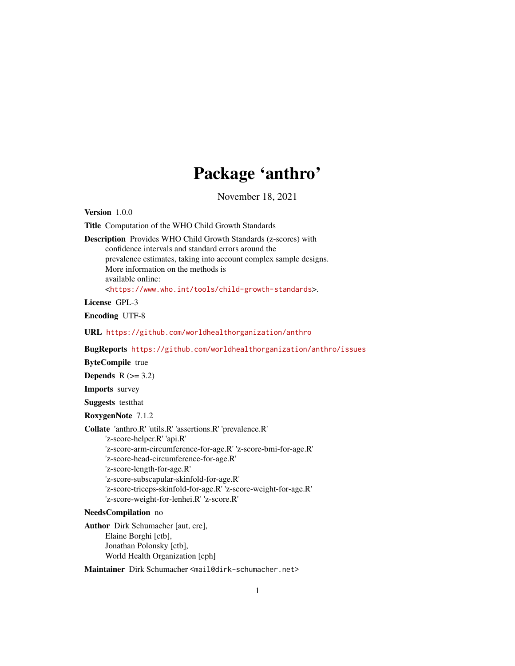# Package 'anthro'

November 18, 2021 Version 1.0.0 Title Computation of the WHO Child Growth Standards Description Provides WHO Child Growth Standards (z-scores) with confidence intervals and standard errors around the prevalence estimates, taking into account complex sample designs. More information on the methods is available online: <<https://www.who.int/tools/child-growth-standards>>. License GPL-3 Encoding UTF-8 URL <https://github.com/worldhealthorganization/anthro> BugReports <https://github.com/worldhealthorganization/anthro/issues> ByteCompile true Depends  $R$  ( $>= 3.2$ ) Imports survey Suggests testthat RoxygenNote 7.1.2 Collate 'anthro.R' 'utils.R' 'assertions.R' 'prevalence.R' 'z-score-helper.R' 'api.R' 'z-score-arm-circumference-for-age.R' 'z-score-bmi-for-age.R' 'z-score-head-circumference-for-age.R' 'z-score-length-for-age.R' 'z-score-subscapular-skinfold-for-age.R' 'z-score-triceps-skinfold-for-age.R' 'z-score-weight-for-age.R' 'z-score-weight-for-lenhei.R' 'z-score.R' NeedsCompilation no Author Dirk Schumacher [aut, cre], Elaine Borghi [ctb], Jonathan Polonsky [ctb], World Health Organization [cph] Maintainer Dirk Schumacher <mail@dirk-schumacher.net>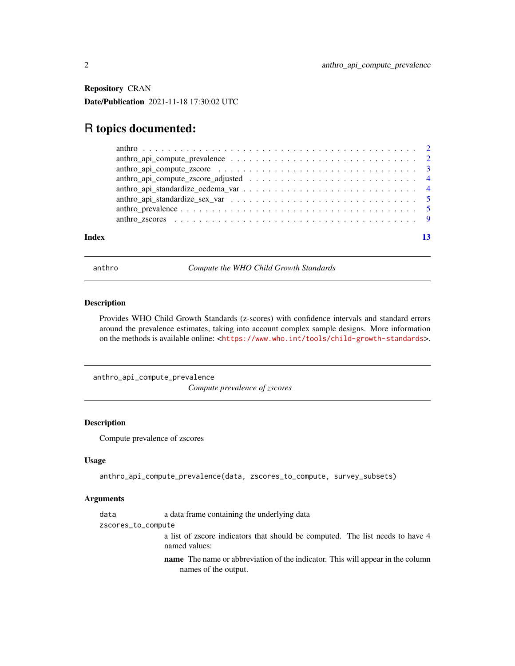<span id="page-1-0"></span>Repository CRAN Date/Publication 2021-11-18 17:30:02 UTC

# R topics documented:

| anthro_api_compute_prevalence $\ldots \ldots \ldots \ldots \ldots \ldots \ldots \ldots \ldots \ldots \ldots$    |  |
|-----------------------------------------------------------------------------------------------------------------|--|
| anthro_api_compute_zscore $\ldots \ldots \ldots \ldots \ldots \ldots \ldots \ldots \ldots \ldots \ldots \ldots$ |  |
|                                                                                                                 |  |
|                                                                                                                 |  |
|                                                                                                                 |  |
|                                                                                                                 |  |
|                                                                                                                 |  |
|                                                                                                                 |  |

#### **Index** [13](#page-12-0)

anthro *Compute the WHO Child Growth Standards*

#### Description

Provides WHO Child Growth Standards (z-scores) with confidence intervals and standard errors around the prevalence estimates, taking into account complex sample designs. More information on the methods is available online: <<https://www.who.int/tools/child-growth-standards>>.

anthro\_api\_compute\_prevalence

*Compute prevalence of zscores*

# Description

Compute prevalence of zscores

#### Usage

anthro\_api\_compute\_prevalence(data, zscores\_to\_compute, survey\_subsets)

#### Arguments

data a data frame containing the underlying data

```
zscores_to_compute
```
a list of zscore indicators that should be computed. The list needs to have 4 named values:

name The name or abbreviation of the indicator. This will appear in the column names of the output.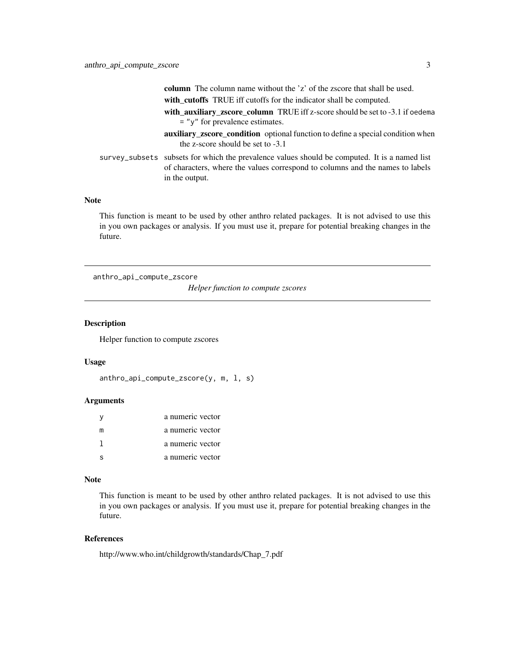<span id="page-2-0"></span>

|  | <b>column</b> The column name without the 'z' of the zscore that shall be used.                                                                                                                  |
|--|--------------------------------------------------------------------------------------------------------------------------------------------------------------------------------------------------|
|  | with_cutoffs TRUE iff cutoffs for the indicator shall be computed.                                                                                                                               |
|  | with_auxiliary_zscore_column TRUE iff z-score should be set to -3.1 if oedema                                                                                                                    |
|  | $=$ " $y$ " for prevalence estimates.                                                                                                                                                            |
|  | <b>auxiliary_zscore_condition</b> optional function to define a special condition when<br>the z-score should be set to $-3.1$                                                                    |
|  | survey_subsets subsets for which the prevalence values should be computed. It is a named list<br>of characters, where the values correspond to columns and the names to labels<br>in the output. |
|  |                                                                                                                                                                                                  |

# Note

This function is meant to be used by other anthro related packages. It is not advised to use this in you own packages or analysis. If you must use it, prepare for potential breaking changes in the future.

anthro\_api\_compute\_zscore

*Helper function to compute zscores*

# Description

Helper function to compute zscores

#### Usage

```
anthro_api_compute_zscore(y, m, l, s)
```
#### Arguments

| v | a numeric vector |
|---|------------------|
| m | a numeric vector |
|   | a numeric vector |
|   | a numeric vector |

#### Note

This function is meant to be used by other anthro related packages. It is not advised to use this in you own packages or analysis. If you must use it, prepare for potential breaking changes in the future.

#### References

http://www.who.int/childgrowth/standards/Chap\_7.pdf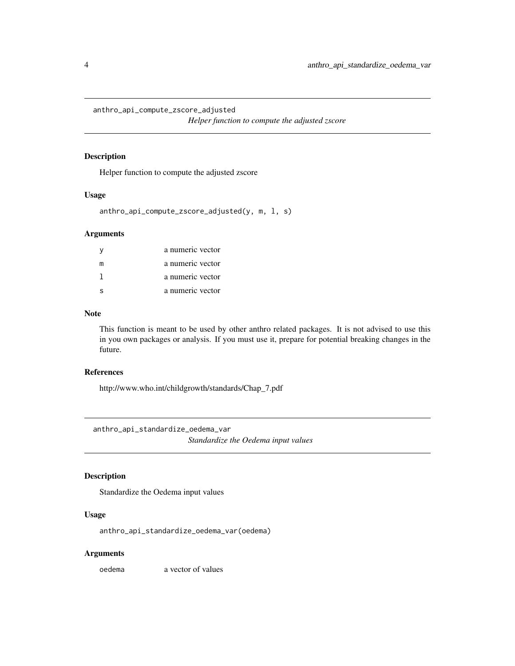<span id="page-3-0"></span>anthro\_api\_compute\_zscore\_adjusted

*Helper function to compute the adjusted zscore*

#### Description

Helper function to compute the adjusted zscore

#### Usage

```
anthro_api_compute_zscore_adjusted(y, m, l, s)
```
#### Arguments

|   | a numeric vector |
|---|------------------|
| m | a numeric vector |
|   | a numeric vector |
|   | a numeric vector |

#### Note

This function is meant to be used by other anthro related packages. It is not advised to use this in you own packages or analysis. If you must use it, prepare for potential breaking changes in the future.

#### References

http://www.who.int/childgrowth/standards/Chap\_7.pdf

anthro\_api\_standardize\_oedema\_var *Standardize the Oedema input values*

# Description

Standardize the Oedema input values

#### Usage

anthro\_api\_standardize\_oedema\_var(oedema)

#### Arguments

oedema a vector of values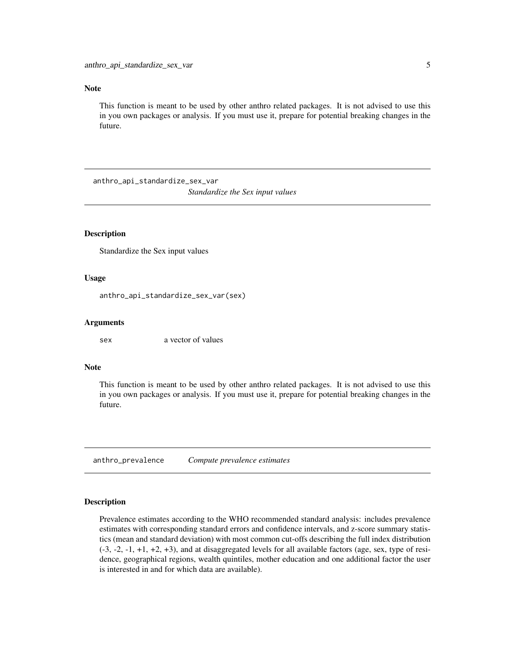#### <span id="page-4-0"></span>Note

This function is meant to be used by other anthro related packages. It is not advised to use this in you own packages or analysis. If you must use it, prepare for potential breaking changes in the future.

anthro\_api\_standardize\_sex\_var

*Standardize the Sex input values*

#### Description

Standardize the Sex input values

#### Usage

anthro\_api\_standardize\_sex\_var(sex)

#### Arguments

sex a vector of values

#### Note

This function is meant to be used by other anthro related packages. It is not advised to use this in you own packages or analysis. If you must use it, prepare for potential breaking changes in the future.

<span id="page-4-1"></span>anthro\_prevalence *Compute prevalence estimates*

#### Description

Prevalence estimates according to the WHO recommended standard analysis: includes prevalence estimates with corresponding standard errors and confidence intervals, and z-score summary statistics (mean and standard deviation) with most common cut-offs describing the full index distribution (-3, -2, -1, +1, +2, +3), and at disaggregated levels for all available factors (age, sex, type of residence, geographical regions, wealth quintiles, mother education and one additional factor the user is interested in and for which data are available).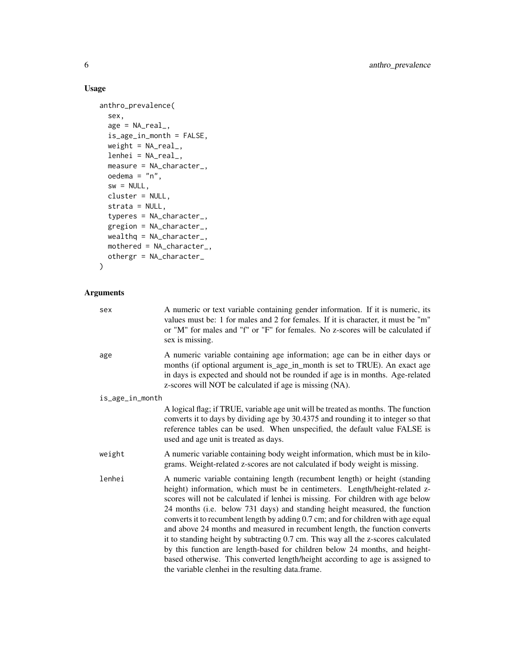# Usage

```
anthro_prevalence(
  sex,
  age = NA\_real_is_age_in_month = FALSE,
 weight = NA\_real,
 lenhei = NA_real_,
 measure = NA_character_,
 oedema = "n",
  sw = NULL,cluster = NULL,
  strata = NULL,
  typeres = NA_character_,
  gregion = NA_character_,
 wealthq = NA_character_,
 mothered = NA_character_,
 othergr = NA_character_
\mathcal{L}
```
# Arguments

| A numeric or text variable containing gender information. If it is numeric, its<br>values must be: 1 for males and 2 for females. If it is character, it must be "m"<br>or "M" for males and "f" or "F" for females. No z-scores will be calculated if<br>sex is missing.                                                                                                                                                                                                                                                                                                                                                                                                                                                                                                                                 |
|-----------------------------------------------------------------------------------------------------------------------------------------------------------------------------------------------------------------------------------------------------------------------------------------------------------------------------------------------------------------------------------------------------------------------------------------------------------------------------------------------------------------------------------------------------------------------------------------------------------------------------------------------------------------------------------------------------------------------------------------------------------------------------------------------------------|
| A numeric variable containing age information; age can be in either days or<br>months (if optional argument is_age_in_month is set to TRUE). An exact age<br>in days is expected and should not be rounded if age is in months. Age-related<br>z-scores will NOT be calculated if age is missing (NA).                                                                                                                                                                                                                                                                                                                                                                                                                                                                                                    |
| is_age_in_month                                                                                                                                                                                                                                                                                                                                                                                                                                                                                                                                                                                                                                                                                                                                                                                           |
| A logical flag; if TRUE, variable age unit will be treated as months. The function<br>converts it to days by dividing age by 30.4375 and rounding it to integer so that<br>reference tables can be used. When unspecified, the default value FALSE is<br>used and age unit is treated as days.                                                                                                                                                                                                                                                                                                                                                                                                                                                                                                            |
| A numeric variable containing body weight information, which must be in kilo-<br>grams. Weight-related z-scores are not calculated if body weight is missing.                                                                                                                                                                                                                                                                                                                                                                                                                                                                                                                                                                                                                                             |
| A numeric variable containing length (recumbent length) or height (standing<br>height) information, which must be in centimeters. Length/height-related z-<br>scores will not be calculated if lenhei is missing. For children with age below<br>24 months (i.e. below 731 days) and standing height measured, the function<br>converts it to recumbent length by adding 0.7 cm; and for children with age equal<br>and above 24 months and measured in recumbent length, the function converts<br>it to standing height by subtracting 0.7 cm. This way all the z-scores calculated<br>by this function are length-based for children below 24 months, and height-<br>based otherwise. This converted length/height according to age is assigned to<br>the variable clenhei in the resulting data.frame. |
|                                                                                                                                                                                                                                                                                                                                                                                                                                                                                                                                                                                                                                                                                                                                                                                                           |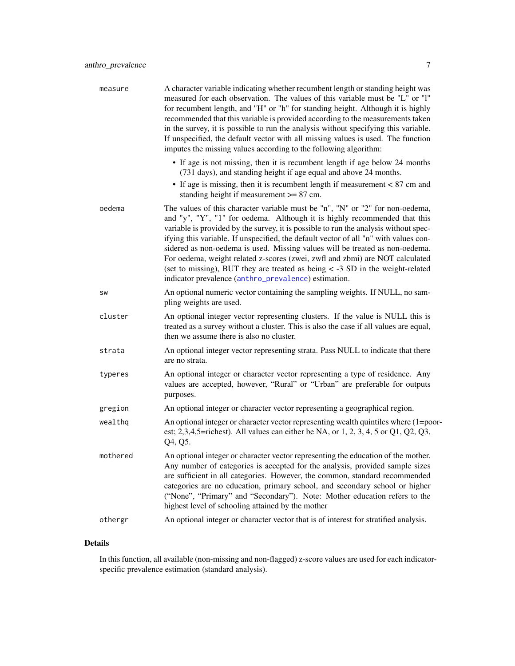<span id="page-6-0"></span>

| measure  | A character variable indicating whether recumbent length or standing height was<br>measured for each observation. The values of this variable must be "L" or "l"<br>for recumbent length, and "H" or "h" for standing height. Although it is highly<br>recommended that this variable is provided according to the measurements taken<br>in the survey, it is possible to run the analysis without specifying this variable.<br>If unspecified, the default vector with all missing values is used. The function<br>imputes the missing values according to the following algorithm:                                                                    |
|----------|---------------------------------------------------------------------------------------------------------------------------------------------------------------------------------------------------------------------------------------------------------------------------------------------------------------------------------------------------------------------------------------------------------------------------------------------------------------------------------------------------------------------------------------------------------------------------------------------------------------------------------------------------------|
|          | • If age is not missing, then it is recumbent length if age below 24 months<br>(731 days), and standing height if age equal and above 24 months.<br>• If age is missing, then it is recumbent length if measurement $< 87$ cm and<br>standing height if measurement $>= 87$ cm.                                                                                                                                                                                                                                                                                                                                                                         |
| oedema   | The values of this character variable must be "n", "N" or "2" for non-oedema,<br>and "y", "Y", "1" for oedema. Although it is highly recommended that this<br>variable is provided by the survey, it is possible to run the analysis without spec-<br>ifying this variable. If unspecified, the default vector of all "n" with values con-<br>sidered as non-oedema is used. Missing values will be treated as non-oedema.<br>For oedema, weight related z-scores (zwei, zwfl and zbmi) are NOT calculated<br>(set to missing), BUT they are treated as being $\lt$ -3 SD in the weight-related<br>indicator prevalence (anthro_prevalence) estimation. |
| SW       | An optional numeric vector containing the sampling weights. If NULL, no sam-<br>pling weights are used.                                                                                                                                                                                                                                                                                                                                                                                                                                                                                                                                                 |
| cluster  | An optional integer vector representing clusters. If the value is NULL this is<br>treated as a survey without a cluster. This is also the case if all values are equal,<br>then we assume there is also no cluster.                                                                                                                                                                                                                                                                                                                                                                                                                                     |
| strata   | An optional integer vector representing strata. Pass NULL to indicate that there<br>are no strata.                                                                                                                                                                                                                                                                                                                                                                                                                                                                                                                                                      |
| typeres  | An optional integer or character vector representing a type of residence. Any<br>values are accepted, however, "Rural" or "Urban" are preferable for outputs<br>purposes.                                                                                                                                                                                                                                                                                                                                                                                                                                                                               |
| gregion  | An optional integer or character vector representing a geographical region.                                                                                                                                                                                                                                                                                                                                                                                                                                                                                                                                                                             |
| wealthq  | An optional integer or character vector representing wealth quintiles where (1=poor-<br>est; 2,3,4,5=richest). All values can either be NA, or $1, 2, 3, 4, 5$ or $Q1$ , $Q2$ , $Q3$ ,<br>Q4, Q5.                                                                                                                                                                                                                                                                                                                                                                                                                                                       |
| mothered | An optional integer or character vector representing the education of the mother.<br>Any number of categories is accepted for the analysis, provided sample sizes<br>are sufficient in all categories. However, the common, standard recommended<br>categories are no education, primary school, and secondary school or higher<br>("None", "Primary" and "Secondary"). Note: Mother education refers to the<br>highest level of schooling attained by the mother                                                                                                                                                                                       |
| othergr  | An optional integer or character vector that is of interest for stratified analysis.                                                                                                                                                                                                                                                                                                                                                                                                                                                                                                                                                                    |

# Details

In this function, all available (non-missing and non-flagged) z-score values are used for each indicatorspecific prevalence estimation (standard analysis).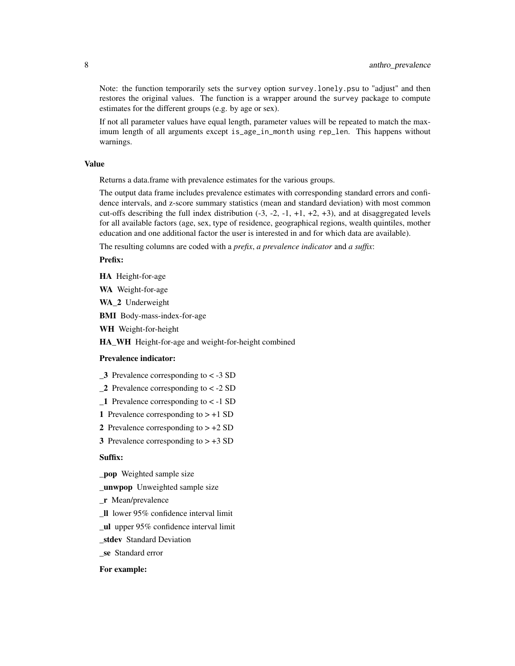Note: the function temporarily sets the survey option survey.lonely.psu to "adjust" and then restores the original values. The function is a wrapper around the survey package to compute estimates for the different groups (e.g. by age or sex).

If not all parameter values have equal length, parameter values will be repeated to match the maximum length of all arguments except is\_age\_in\_month using rep\_len. This happens without warnings.

#### Value

Returns a data.frame with prevalence estimates for the various groups.

The output data frame includes prevalence estimates with corresponding standard errors and confidence intervals, and z-score summary statistics (mean and standard deviation) with most common cut-offs describing the full index distribution  $(-3, -2, -1, +1, +2, +3)$ , and at disaggregated levels for all available factors (age, sex, type of residence, geographical regions, wealth quintiles, mother education and one additional factor the user is interested in and for which data are available).

The resulting columns are coded with a *prefix*, *a prevalence indicator* and *a suffix*:

#### Prefix:

HA Height-for-age

WA Weight-for-age

WA 2 Underweight

BMI Body-mass-index-for-age

WH Weight-for-height

HA\_WH Height-for-age and weight-for-height combined

#### Prevalence indicator:

- \_3 Prevalence corresponding to < -3 SD
- \_2 Prevalence corresponding to < -2 SD
- \_1 Prevalence corresponding to < -1 SD
- 1 Prevalence corresponding to  $> +1$  SD
- 2 Prevalence corresponding to  $> +2$  SD
- 3 Prevalence corresponding to  $> +3$  SD

#### Suffix:

\_pop Weighted sample size

\_unwpop Unweighted sample size

- \_r Mean/prevalence
- \_ll lower 95% confidence interval limit
- \_ul upper 95% confidence interval limit
- \_stdev Standard Deviation
- \_se Standard error

#### For example: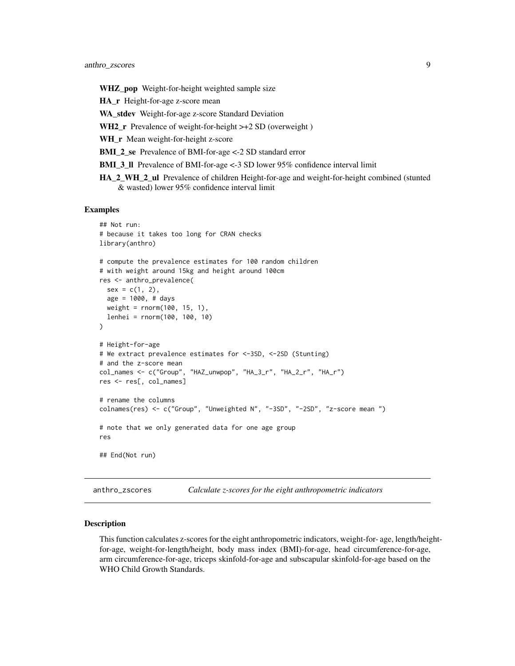<span id="page-8-0"></span>WHZ\_pop Weight-for-height weighted sample size

HA\_r Height-for-age z-score mean

WA\_stdev Weight-for-age z-score Standard Deviation

WH2  $r$  Prevalence of weight-for-height  $\gt$ +2 SD (overweight)

WH\_r Mean weight-for-height z-score

BMI\_2\_se Prevalence of BMI-for-age <-2 SD standard error

BMI\_3\_ll Prevalence of BMI-for-age <-3 SD lower 95% confidence interval limit

HA\_2\_WH\_2\_ul Prevalence of children Height-for-age and weight-for-height combined (stunted & wasted) lower 95% confidence interval limit

#### Examples

```
## Not run:
# because it takes too long for CRAN checks
library(anthro)
# compute the prevalence estimates for 100 random children
# with weight around 15kg and height around 100cm
res <- anthro_prevalence(
  sex = c(1, 2),age = 1000, # days
  weight = rnorm(100, 15, 1),
  lenhei = rnorm(100, 100, 10)
)
# Height-for-age
# We extract prevalence estimates for <-3SD, <-2SD (Stunting)
# and the z-score mean
col_names <- c("Group", "HAZ_unwpop", "HA_3_r", "HA_2_r", "HA_r")
res <- res[, col_names]
# rename the columns
colnames(res) <- c("Group", "Unweighted N", "-3SD", "-2SD", "z-score mean ")
# note that we only generated data for one age group
res
## End(Not run)
```
anthro\_zscores *Calculate z-scores for the eight anthropometric indicators*

#### Description

This function calculates z-scores for the eight anthropometric indicators, weight-for- age, length/heightfor-age, weight-for-length/height, body mass index (BMI)-for-age, head circumference-for-age, arm circumference-for-age, triceps skinfold-for-age and subscapular skinfold-for-age based on the WHO Child Growth Standards.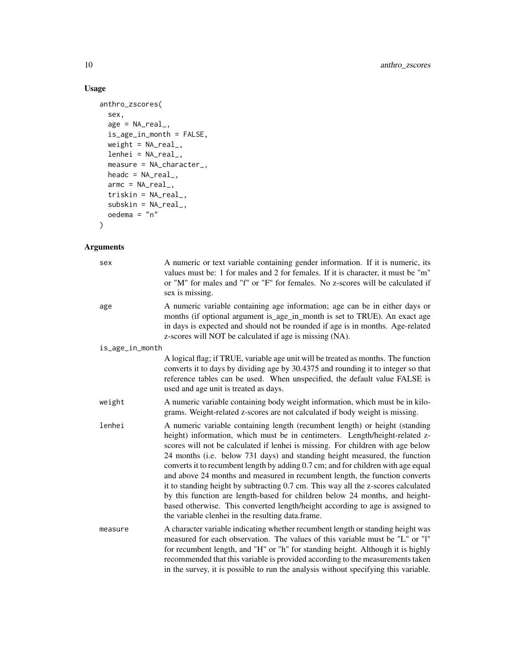# Usage

```
anthro_zscores(
  sex,
 age = NA\_real_is_age_in_month = FALSE,
 weight = NA\_real_,
 lenhei = NA_real_,
 measure = NA_character_,
 headc = NA\_real_,
 armc = NA\_real_,
  triskin = NA_real_,
 subskin = NA\_real_oedema = "n"
\mathcal{L}
```
# Arguments

| sex             | A numeric or text variable containing gender information. If it is numeric, its<br>values must be: 1 for males and 2 for females. If it is character, it must be "m"<br>or "M" for males and "f" or "F" for females. No z-scores will be calculated if<br>sex is missing.                                                                                                                                                                                                                                                                                                                                                                                                                                                                                                                                 |
|-----------------|-----------------------------------------------------------------------------------------------------------------------------------------------------------------------------------------------------------------------------------------------------------------------------------------------------------------------------------------------------------------------------------------------------------------------------------------------------------------------------------------------------------------------------------------------------------------------------------------------------------------------------------------------------------------------------------------------------------------------------------------------------------------------------------------------------------|
| age             | A numeric variable containing age information; age can be in either days or<br>months (if optional argument is_age_in_month is set to TRUE). An exact age<br>in days is expected and should not be rounded if age is in months. Age-related<br>z-scores will NOT be calculated if age is missing (NA).                                                                                                                                                                                                                                                                                                                                                                                                                                                                                                    |
| is_age_in_month |                                                                                                                                                                                                                                                                                                                                                                                                                                                                                                                                                                                                                                                                                                                                                                                                           |
|                 | A logical flag; if TRUE, variable age unit will be treated as months. The function<br>converts it to days by dividing age by 30.4375 and rounding it to integer so that<br>reference tables can be used. When unspecified, the default value FALSE is<br>used and age unit is treated as days.                                                                                                                                                                                                                                                                                                                                                                                                                                                                                                            |
| weight          | A numeric variable containing body weight information, which must be in kilo-<br>grams. Weight-related z-scores are not calculated if body weight is missing.                                                                                                                                                                                                                                                                                                                                                                                                                                                                                                                                                                                                                                             |
| lenhei          | A numeric variable containing length (recumbent length) or height (standing<br>height) information, which must be in centimeters. Length/height-related z-<br>scores will not be calculated if lenhei is missing. For children with age below<br>24 months (i.e. below 731 days) and standing height measured, the function<br>converts it to recumbent length by adding 0.7 cm; and for children with age equal<br>and above 24 months and measured in recumbent length, the function converts<br>it to standing height by subtracting 0.7 cm. This way all the z-scores calculated<br>by this function are length-based for children below 24 months, and height-<br>based otherwise. This converted length/height according to age is assigned to<br>the variable clenhei in the resulting data.frame. |
| measure         | A character variable indicating whether recumbent length or standing height was<br>measured for each observation. The values of this variable must be "L" or "l"<br>for recumbent length, and "H" or "h" for standing height. Although it is highly<br>recommended that this variable is provided according to the measurements taken<br>in the survey, it is possible to run the analysis without specifying this variable.                                                                                                                                                                                                                                                                                                                                                                              |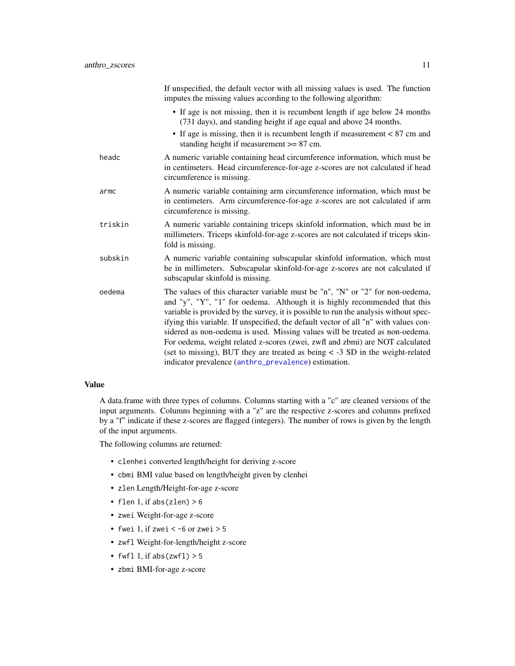<span id="page-10-0"></span>

|         | If unspecified, the default vector with all missing values is used. The function<br>imputes the missing values according to the following algorithm:                                                                                                                                                                                                                                                                                                                                                                                                                                                                                                    |
|---------|---------------------------------------------------------------------------------------------------------------------------------------------------------------------------------------------------------------------------------------------------------------------------------------------------------------------------------------------------------------------------------------------------------------------------------------------------------------------------------------------------------------------------------------------------------------------------------------------------------------------------------------------------------|
|         | • If age is not missing, then it is recumbent length if age below 24 months<br>(731 days), and standing height if age equal and above 24 months.                                                                                                                                                                                                                                                                                                                                                                                                                                                                                                        |
|         | • If age is missing, then it is recumbent length if measurement $< 87$ cm and<br>standing height if measurement $>= 87$ cm.                                                                                                                                                                                                                                                                                                                                                                                                                                                                                                                             |
| headc   | A numeric variable containing head circumference information, which must be<br>in centimeters. Head circumference-for-age z-scores are not calculated if head<br>circumference is missing.                                                                                                                                                                                                                                                                                                                                                                                                                                                              |
| armc    | A numeric variable containing arm circumference information, which must be<br>in centimeters. Arm circumference-for-age z-scores are not calculated if arm<br>circumference is missing.                                                                                                                                                                                                                                                                                                                                                                                                                                                                 |
| triskin | A numeric variable containing triceps skinfold information, which must be in<br>millimeters. Triceps skinfold-for-age z-scores are not calculated if triceps skin-<br>fold is missing.                                                                                                                                                                                                                                                                                                                                                                                                                                                                  |
| subskin | A numeric variable containing subscapular skinfold information, which must<br>be in millimeters. Subscapular skinfold-for-age z-scores are not calculated if<br>subscapular skinfold is missing.                                                                                                                                                                                                                                                                                                                                                                                                                                                        |
| oedema  | The values of this character variable must be "n", "N" or "2" for non-oedema,<br>and "y", "Y", "1" for oedema. Although it is highly recommended that this<br>variable is provided by the survey, it is possible to run the analysis without spec-<br>ifying this variable. If unspecified, the default vector of all "n" with values con-<br>sidered as non-oedema is used. Missing values will be treated as non-oedema.<br>For oedema, weight related z-scores (zwei, zwfl and zbmi) are NOT calculated<br>(set to missing), BUT they are treated as being $\lt$ -3 SD in the weight-related<br>indicator prevalence (anthro_prevalence) estimation. |
|         |                                                                                                                                                                                                                                                                                                                                                                                                                                                                                                                                                                                                                                                         |

#### Value

A data.frame with three types of columns. Columns starting with a "c" are cleaned versions of the input arguments. Columns beginning with a "z" are the respective z-scores and columns prefixed by a "f" indicate if these z-scores are flagged (integers). The number of rows is given by the length of the input arguments.

The following columns are returned:

- clenhei converted length/height for deriving z-score
- cbmi BMI value based on length/height given by clenhei
- zlen Length/Height-for-age z-score
- flen 1, if abs(zlen)  $> 6$
- zwei Weight-for-age z-score
- fwei 1, if zwei <  $-6$  or zwei >  $5$
- zwfl Weight-for-length/height z-score
- fwfl 1, if  $abs(zwf1) > 5$
- zbmi BMI-for-age z-score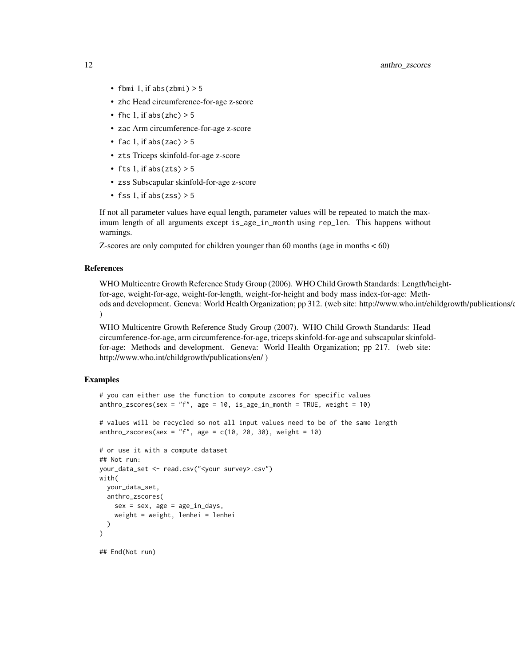- fbmi 1, if  $abs(zbmi) > 5$
- zhc Head circumference-for-age z-score
- fhc 1, if abs(zhc)  $> 5$
- zac Arm circumference-for-age z-score
- fac 1, if abs(zac)  $> 5$
- zts Triceps skinfold-for-age z-score
- fts 1, if abs( $z$ ts) > 5
- zss Subscapular skinfold-for-age z-score
- fss 1, if  $abs(zss) > 5$

If not all parameter values have equal length, parameter values will be repeated to match the maximum length of all arguments except is\_age\_in\_month using rep\_len. This happens without warnings.

Z-scores are only computed for children younger than 60 months (age in months < 60)

#### References

WHO Multicentre Growth Reference Study Group (2006). WHO Child Growth Standards: Length/heightfor-age, weight-for-age, weight-for-length, weight-for-height and body mass index-for-age: Methods and development. Geneva: World Health Organization; pp 312. (web site: http://www.who.int/childgrowth/publications/ )

WHO Multicentre Growth Reference Study Group (2007). WHO Child Growth Standards: Head circumference-for-age, arm circumference-for-age, triceps skinfold-for-age and subscapular skinfoldfor-age: Methods and development. Geneva: World Health Organization; pp 217. (web site: http://www.who.int/childgrowth/publications/en/ )

#### Examples

```
# you can either use the function to compute zscores for specific values
anthro_zscores(sex = "f", age = 10, is_age_in_month = TRUE, weight = 10)
```

```
# values will be recycled so not all input values need to be of the same length
anthro_zscores(sex = "f", age = c(10, 20, 30), weight = 10)
```

```
# or use it with a compute dataset
## Not run:
your_data_set <- read.csv("<your survey>.csv")
with(
  your_data_set,
  anthro_zscores(
    sex = sex, age = age_in_days,
    weight = weight, lenhei = lenhei
  )
\mathcal{L}
```
## End(Not run)